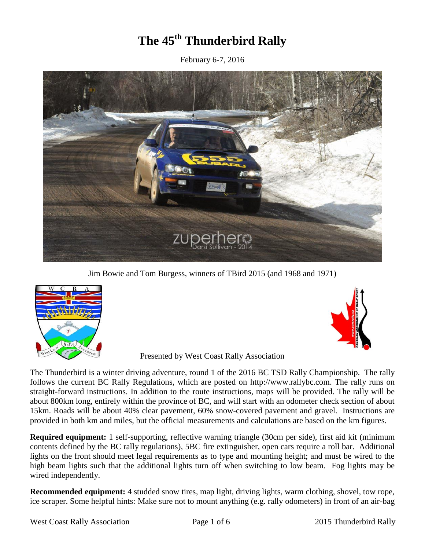# **The 45 th Thunderbird Rally**

February 6-7, 2016



Jim Bowie and Tom Burgess, winners of TBird 2015 (and 1968 and 1971)





Presented by West Coast Rally Association

The Thunderbird is a winter driving adventure, round 1 of the 2016 BC TSD Rally Championship. The rally follows the current BC Rally Regulations, which are posted on [http://www.rallybc.com.](http://www.rallybc.com/html/regional) The rally runs on straight-forward instructions. In addition to the route instructions, maps will be provided. The rally will be about 800km long, entirely within the province of BC, and will start with an odometer check section of about 15km. Roads will be about 40% clear pavement, 60% snow-covered pavement and gravel. Instructions are provided in both km and miles, but the official measurements and calculations are based on the km figures.

**Required equipment:** 1 self-supporting, reflective warning triangle (30cm per side), first aid kit (minimum contents defined by the BC rally regulations), 5BC fire extinguisher, open cars require a roll bar. Additional lights on the front should meet legal requirements as to type and mounting height; and must be wired to the high beam lights such that the additional lights turn off when switching to low beam. Fog lights may be wired independently.

**Recommended equipment:** 4 studded snow tires, map light, driving lights, warm clothing, shovel, tow rope, ice scraper. Some helpful hints: Make sure not to mount anything (e.g. rally odometers) in front of an air-bag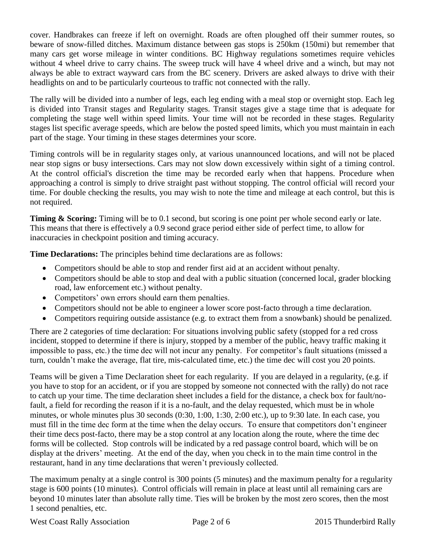cover. Handbrakes can freeze if left on overnight. Roads are often ploughed off their summer routes, so beware of snow-filled ditches. Maximum distance between gas stops is 250km (150mi) but remember that many cars get worse mileage in winter conditions. BC Highway regulations sometimes require vehicles without 4 wheel drive to carry chains. The sweep truck will have 4 wheel drive and a winch, but may not always be able to extract wayward cars from the BC scenery. Drivers are asked always to drive with their headlights on and to be particularly courteous to traffic not connected with the rally.

The rally will be divided into a number of legs, each leg ending with a meal stop or overnight stop. Each leg is divided into Transit stages and Regularity stages. Transit stages give a stage time that is adequate for completing the stage well within speed limits. Your time will not be recorded in these stages. Regularity stages list specific average speeds, which are below the posted speed limits, which you must maintain in each part of the stage. Your timing in these stages determines your score.

Timing controls will be in regularity stages only, at various unannounced locations, and will not be placed near stop signs or busy intersections. Cars may not slow down excessively within sight of a timing control. At the control official's discretion the time may be recorded early when that happens. Procedure when approaching a control is simply to drive straight past without stopping. The control official will record your time. For double checking the results, you may wish to note the time and mileage at each control, but this is not required.

**Timing & Scoring:** Timing will be to 0.1 second, but scoring is one point per whole second early or late. This means that there is effectively a 0.9 second grace period either side of perfect time, to allow for inaccuracies in checkpoint position and timing accuracy.

**Time Declarations:** The principles behind time declarations are as follows:

- Competitors should be able to stop and render first aid at an accident without penalty.
- Competitors should be able to stop and deal with a public situation (concerned local, grader blocking road, law enforcement etc.) without penalty.
- Competitors' own errors should earn them penalties.
- Competitors should not be able to engineer a lower score post-facto through a time declaration.
- Competitors requiring outside assistance (e.g. to extract them from a snowbank) should be penalized.

There are 2 categories of time declaration: For situations involving public safety (stopped for a red cross incident, stopped to determine if there is injury, stopped by a member of the public, heavy traffic making it impossible to pass, etc.) the time dec will not incur any penalty. For competitor's fault situations (missed a turn, couldn't make the average, flat tire, mis-calculated time, etc.) the time dec will cost you 20 points.

Teams will be given a Time Declaration sheet for each regularity. If you are delayed in a regularity, (e.g. if you have to stop for an accident, or if you are stopped by someone not connected with the rally) do not race to catch up your time. The time declaration sheet includes a field for the distance, a check box for fault/nofault, a field for recording the reason if it is a no-fault, and the delay requested, which must be in whole minutes, or whole minutes plus 30 seconds (0:30, 1:00, 1:30, 2:00 etc.), up to 9:30 late. In each case, you must fill in the time dec form at the time when the delay occurs. To ensure that competitors don't engineer their time decs post-facto, there may be a stop control at any location along the route, where the time dec forms will be collected. Stop controls will be indicated by a red passage control board, which will be on display at the drivers' meeting. At the end of the day, when you check in to the main time control in the restaurant, hand in any time declarations that weren't previously collected.

The maximum penalty at a single control is 300 points (5 minutes) and the maximum penalty for a regularity stage is 600 points (10 minutes). Control officials will remain in place at least until all remaining cars are beyond 10 minutes later than absolute rally time. Ties will be broken by the most zero scores, then the most 1 second penalties, etc.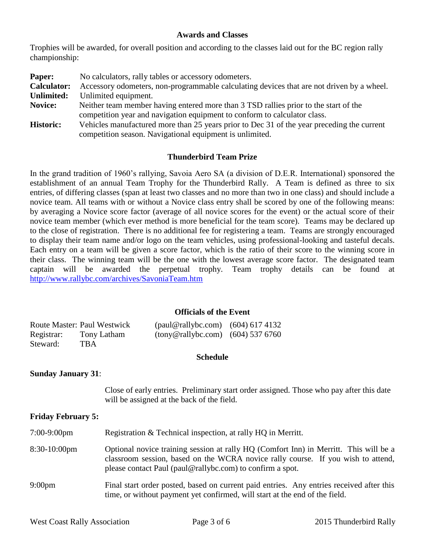#### **Awards and Classes**

Trophies will be awarded, for overall position and according to the classes laid out for the BC region rally championship:

| Paper:             | No calculators, rally tables or accessory odometers.                                       |  |
|--------------------|--------------------------------------------------------------------------------------------|--|
| <b>Calculator:</b> | Accessory odometers, non-programmable calculating devices that are not driven by a wheel.  |  |
| <b>Unlimited:</b>  | Unlimited equipment.                                                                       |  |
| Novice:            | Neither team member having entered more than 3 TSD railies prior to the start of the       |  |
|                    | competition year and navigation equipment to conform to calculator class.                  |  |
| <b>Historic:</b>   | Vehicles manufactured more than 25 years prior to Dec 31 of the year preceding the current |  |

competition season. Navigational equipment is unlimited.

#### **Thunderbird Team Prize**

In the grand tradition of 1960's rallying, Savoia Aero SA (a division of D.E.R. International) sponsored the establishment of an annual Team Trophy for the Thunderbird Rally. A Team is defined as three to six entries, of differing classes (span at least two classes and no more than two in one class) and should include a novice team. All teams with or without a Novice class entry shall be scored by one of the following means: by averaging a Novice score factor (average of all novice scores for the event) or the actual score of their novice team member (which ever method is more beneficial for the team score). Teams may be declared up to the close of registration. There is no additional fee for registering a team. Teams are strongly encouraged to display their team name and/or logo on the team vehicles, using professional-looking and tasteful decals. Each entry on a team will be given a score factor, which is the ratio of their score to the winning score in their class. The winning team will be the one with the lowest average score factor. The designated team captain will be awarded the perpetual trophy. Team trophy details can be found at <http://www.rallybc.com/archives/SavoniaTeam.htm>

#### **Officials of the Event**

|            | <b>Route Master: Paul Westwick</b> | $\text{(paul@rallybc.com)} \quad (604) 617 4132$ |  |
|------------|------------------------------------|--------------------------------------------------|--|
| Registrar: | Tony Latham                        | $\frac{1}{2}$ (tony@rallybc.com) (604) 537 6760  |  |
| Steward:   | TBA                                |                                                  |  |

#### **Schedule**

#### **Sunday January 31**:

Close of early entries. Preliminary start order assigned. Those who pay after this date will be assigned at the back of the field.

**Friday February 5:**

7:00-9:00pm Registration & Technical inspection, at rally HQ in Merritt.

- 8:30-10:00pm Optional novice training session at rally HQ (Comfort Inn) in Merritt. This will be a classroom session, based on the WCRA novice rally course. If you wish to attend, please contact Paul (paul@rallybc.com) to confirm a spot.
- 9:00pm Final start order posted, based on current paid entries. Any entries received after this time, or without payment yet confirmed, will start at the end of the field.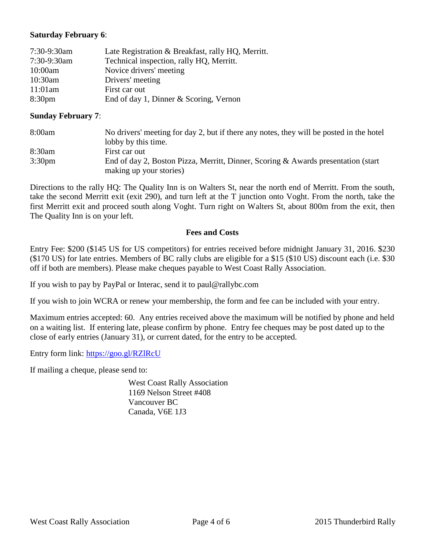## **Saturday February 6**:

| 7:30-9:30am        | Late Registration & Breakfast, rally HQ, Merritt. |
|--------------------|---------------------------------------------------|
| 7:30-9:30am        | Technical inspection, rally HQ, Merritt.          |
| $10:00$ am         | Novice drivers' meeting                           |
| $10:30$ am         | Drivers' meeting                                  |
| 11:01am            | First car out                                     |
| 8:30 <sub>pm</sub> | End of day 1, Dinner & Scoring, Vernon            |

#### **Sunday February 7**:

| 8:00am             | No drivers' meeting for day 2, but if there any notes, they will be posted in the hotel |  |  |
|--------------------|-----------------------------------------------------------------------------------------|--|--|
|                    | lobby by this time.                                                                     |  |  |
| 8:30am             | First car out                                                                           |  |  |
| 3:30 <sub>pm</sub> | End of day 2, Boston Pizza, Merritt, Dinner, Scoring & Awards presentation (start       |  |  |
|                    | making up your stories)                                                                 |  |  |

Directions to the rally HQ: The Quality Inn is on Walters St, near the north end of Merritt. From the south, take the second Merritt exit (exit 290), and turn left at the T junction onto Voght. From the north, take the first Merritt exit and proceed south along Voght. Turn right on Walters St, about 800m from the exit, then The Quality Inn is on your left.

#### **Fees and Costs**

Entry Fee: \$200 (\$145 US for US competitors) for entries received before midnight January 31, 2016. \$230 (\$170 US) for late entries. Members of BC rally clubs are eligible for a \$15 (\$10 US) discount each (i.e. \$30 off if both are members). Please make cheques payable to West Coast Rally Association.

If you wish to pay by PayPal or Interac, send it to paul@rallybc.com

If you wish to join WCRA or renew your membership, the form and fee can be included with your entry.

Maximum entries accepted: 60. Any entries received above the maximum will be notified by phone and held on a waiting list. If entering late, please confirm by phone. Entry fee cheques may be post dated up to the close of early entries (January 31), or current dated, for the entry to be accepted.

Entry form link: <https://goo.gl/RZlRcU>

If mailing a cheque, please send to:

West Coast Rally Association 1169 Nelson Street #408 Vancouver BC Canada, V6E 1J3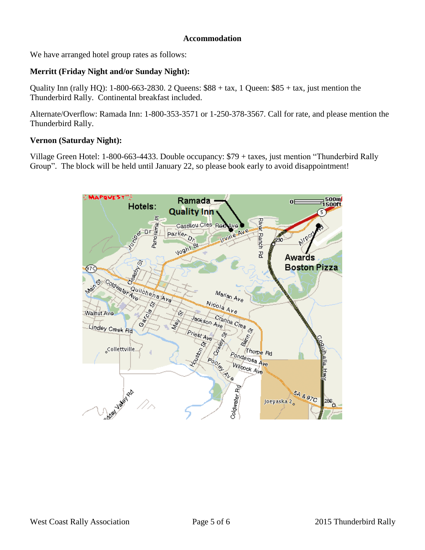#### **Accommodation**

We have arranged hotel group rates as follows:

# **Merritt (Friday Night and/or Sunday Night):**

Quality Inn (rally HQ):  $1-800-663-2830.$  2 Queens:  $$88 + tax, 1$  Queen:  $$85 + tax,$  just mention the Thunderbird Rally. Continental breakfast included.

Alternate/Overflow: Ramada Inn: 1-800-353-3571 or 1-250-378-3567. Call for rate, and please mention the Thunderbird Rally.

## **Vernon (Saturday Night):**

Village Green Hotel: 1-800-663-4433. Double occupancy: \$79 + taxes, just mention "Thunderbird Rally Group". The block will be held until January 22, so please book early to avoid disappointment!